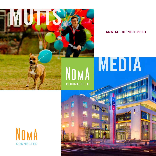

# ANNUAL REPORT 2013

PLAYER STREET

# MEDIA

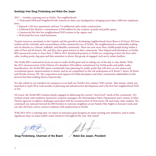#### Greetings from Doug Firstenberg and Robin-Eve Jasper

2013 — Another amazing year in NoMa. The neighborhood:

 > Welcomed NPR and NeighborWorks America to their new headquarters, bringing more than 1,000 new employees here;

- > Opened 1,303 new apartments and has 714 additional units under construction;
- > Celebrated the District's commitment of \$50 million for the creation of parks and public space;
- > Constructed the first free neighborhood WiFi system in the region; and
- > Welcomed five new retail businesses.

Transit resources, proximity to the Capitol, and the growth in developing neighborhoods from Shaw to H Street, NE have reinforced the centrality and connectedness of the commercial core of NoMa. The neighborhood is comfortably settling into its identity as a vibrant, walkable, and bikeable community. There are now more than 18,000 people living within a mile of First and M Streets, NE, and they show great interest in their community. They helped swell attendance at NoMa BID-sponsored events to more than 17,000 in 2013. Residential projects in NoMa are competing to have the best cyber cafes, rooftop pools, dog spas and bike amenities to attract this group of engaged, tech-savvy urban dwellers.

The NoMa BID continued to focus on ways to make NoMa great and on taking care of the day-to-day details. With the 2013 announcement of the District of Columbia's \$50 million commitment for NoMa parks and public realm beautification, the NoMa BID spent considerable time planning for public parks that will serve as civic plazas and recreational spaces, improvements to streets, and an art competition in the rail underpasses at K Street, L Street, M Street and Florida Avenue, NE. The cooperation and support of NoMa developers and other community stakeholders in this process has been nothing short of spectacular.

We also relied on our members for assistance as we built out NoMa's free outdoor WiFi system. That system, which was launched in April 2014, took months of planning and infrastructure development and is the first free neighborhood WiFi in DC.

Of course, the NoMa BID remains deeply engaged in addressing the current "street level" needs of the community. We worked closely with residents, businesses, property managers, the Metropolitan Police Department and a variety of other District agencies to address challenges associated with the reconstruction of First Street, NE and many other matters. We continued our outreach beyond the BID borders to welcome neighbors at our Family Film Nights at Sursum Corda and our July 4th Party, and to connect residents with employment in NoMa.

With 2014 off to a running start, we expect to announce great progress on many exciting new initiatives, and to make significant steps on major public realm initiatives throughout the year. Stay tuned!

Doug Firstenberg, Chairman of the Board  $\mathcal A$  Robin-Eve Jasper, President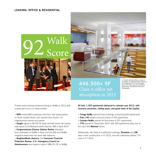#### LEASING: OFFICE & RESIDENTIAL



Private sector leasing remained strong in NoMa in 2013, with a particular focus on media entities.

> NPR moved 800 employees into their new headquarters on North Capitol Street, and opened their Studio 1 to neighborhood events and panels.

> Google signed a 58,100 SF lease and will move into snazzy new space at 25 Massachusetts Avenue, NW in April 2014.

> Congresswoman Eleanor Holmes Norton relocated from downtown to NoMa in April, and the BID and NoMa neighbors welcomed her team with balloons.

> NeighborWorks America, the Consumer Financial Protection Bureau, U.S. Interagency Council on Homelessness also leased a total of 386,251 SF in NoMa.



446,500+ SF Class A office net absorption in 2013

*L: Camden NoMa's ribbon-cutting in November. R: NeighborWorks America's new headquarters on North Capitol Street, NE. Photo courtesy STUDIOS Architecture and Bilyana Dimitrova Photography.*

All told, 1,303 apartments delivered in calendar year 2013, with luxurious amenities, rooftop pools, and great views of the Capitol.

- > Trilogy NoMa opened three buildings comprising 603 apartments.
- > Flats 130 added a second phase of 203 apartments.
- > Camden NoMa opened its first phase of 321 apartments.

> 77H opened in December 2013, with 303 apartments atop one of the city's first **Walmart** stores.

Additionally, two Class A multifamily buildings, Elevation and 2M, were under construction in FY 2013, and will collectively deliver 714 units in FY 2014.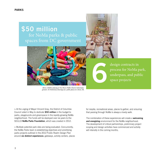# \$50 million for NoMa parks & public spaces from DC government

design contracts in process for NoMa park, underpass, and public space projects

*Above: Children playing at Two Rivers Public Charter School playground. R: Preliminary drawings of a public plaza at L Street, NE.* 

> At the urging of Mayor Vincent Gray, the District of Columbia Council voted in May to dedicate \$50 million in the budget to parks, playgrounds and greenspace in the rapidly growing NoMa neighborhood. The funds will be deployed over six years to the 501(c)3 NoMa Parks Foundation, which was created in 2012.

> Multiple potential park sites are being evaluated. Concurrently, the NoMa Parks team is establishing objectives and prioritizing parks projects outlined in the 2012 Public Realm Design Plan around six distinct experiences: gateways, activity centers, places for respite, recreational areas, places to gather, and ensuring that passing through NoMa is always a lovely walk.

6

The combination of these experiences will create a **welcoming** and energizing environment for the NoMa neighborhood. The development of critical partnerships, preliminary project scoping and design activities have commenced and activity will intensify in the coming months.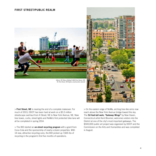#### FIRST STREET/PUBLIC REALM



*Above: DC Bocce behind 1200 First Street, NE. R: First Sreet, NE before construction started.* 



> First Street, NE is nearing the end of a complete makeover. For much of 2013, DDOT has been hard at work on a \$5.5 million streetscape overhaul from K Street, NE to New York Avenue, NE. New tree boxes, curbs, street lights and NoMa's first protected bike lane will all be completed in spring 2014.

> The BID started an on-street recycling program with a grant from Coca-Cola and the sponsorship of nearly a dozen properties. With 14 new, attractive recycling cans, the BID picked up 7,665 lbs of recycling in the program's first five months of operations.

> On the eastern edge of NoMa, arching tree-like arms now reach above the New York Avenue bridge toward the sky. The 52-foot-tall work, "Gateway Wings" by New Haven, Connecticut artist Kent Bloomer, welcomes visitors into the District at one of the city's most important gateways. The \$500,000 public art project was organized by DDOT and the Commission on the Arts and Humanities and was completed in August.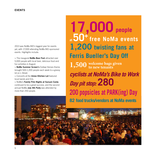2013 was NoMa BID's biggest year for events yet, with 17,000 attending NoMa BID-sponsored events. Highlights include:

> The inaugural **NoMa Beer Fest** attracted over 5,000 people with local beer, delicious food and fun activities in August.

> NoMa Summer Screen's Outlaw Heroes theme brought 500-1,200 people each week to a grassy lot on L Street.

> Concerts at the **Union Kitchen Lot** featured local bands and DJs.

> NoMa's Family Film Nights at Sursum Corda continued to be a great success, and the second annual NoMa July 4th Party was attended by more than 250 people.

**17,000 people** at  $50<sup>+</sup>$  free NoMa events 1,200 **twisting fans at Ferris Bueller's Day Off** 

**1,500 welcome bags given cyclists at NoMa's Bike to Work Day pit stop: 280 200 popsicles at PARK(ing) Day 82 food trucks/vendors at NoMa events to new tenants**

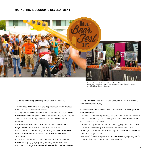#### MARKETING & ECONOMIC DEVELOPMENT



*L: NoMa Beer Fest featured local beer and was held on two parking lots owned by The JBG Companies. R: NoMa BID collaborated with members to sponsor the WDCEP development showcase.* 

The NoMa marketing team expanded their reach in 2013.

> Announced **NPR's** move to the neighborhood with hundreds of welcome packets and on-air ads.

> Using new survey information, BID staff created a new 'NoMa in Numbers' flier compiling key neighborhood and demographic statistics. The flier is regularly updated and available to BID members.

> Hundreds of new photos were added to the **professional** image library and made available to BID members.

 $>$  Social media continued to grow rapidly, to 1,620 Facebook friends, 3,941 Twitter followers and 4,554 e-newsletter subscribers.

> The team partnered with BID members to create the Live in NoMa campaign, highlighting the neighborhood's new apartment buildings. 48 ads were installed in Circulator buses. > 31% increase in annual visitors to NOMABID.ORG (202,000 unique visitors in 2013)

Created several new videos, which are available at www.youtube. com/nomabid:

> BID staff filmed and produced a video about Ibrahim Turayson, a Sierra Leone refugee and the organization's first ambassador who became a U.S. citizen.

> Collaborating with members, the BID highlighted NoMa projects at the Annual Meeting and Development Showcase of the Washington DC Economic Partnership, and debuted a new video about the neighborhood.

> BID staff filmed and produced a video short highlighting the fun at NoMa Summer Screen and NoMa Beer Fest.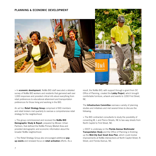#### PLANNING & ECONOMIC DEVELOPMENT



> In economic development, NoMa BID staff executed a detailed survey of NoMa BID workers and residents that garnered well over 1,000 responses and provided critical info about everything from retail preferences to educational attainment and transportation preferences for those living and working in the BID.

An ad hoc Retail Strategy Group comprised of BID members and retail brokers met quarterly to oversee a comprehensive retail strategy for the neighborhood.

> The group commissioned and received the **NoMa BID** Demographic Study & Report, prepared by Mosaic Urban Partners, that defined the NoMa Primary Market Area and provided demographic and economic information about the broader NoMa neighborhood.

> The Retail Strategy Group also encouraged additional popup events and renewed focus on retail activation efforts. As a result, the NoMa BID, with support through a grant from DC Office of Planning, created the Lobby Project, which brought comfortable furniture, artwork and events to 1200 First Street, NE.

The Infrastructure Committee oversaw a variety of planning studies and initiatives and met several times to discuss the following:

> The BID contracted consultants to study the possibility of converting M, L and Pierce Streets, NE to two-way streets from North Capitol to First Street, NE.

> DDOT is underway on the Florida Avenue Multimodal Transportation Study and the Office of Planning is finishing up the Mid-City East Small Area Plan, which could involve improvements at NoMa intersections at North Capitol Street, N Street, and Florida Avenue, NE.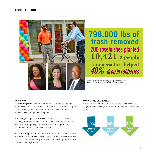#### ABOUT THE BID



# **798,000 lbs of trash removed 200 rosebushes planted 10,421: # people ambassadors helped** 40% drop in robberies

*Above: Ambassador Thomas Henderson chatting with a cyclist. Below, L-R: Sheryl Augustine, Galin Brooks, Curtis Clay.* 

#### NEW HIRES

> Sheryl Augustine joined the NoMa BID as Business Manager. Formerly Operations and Finance Director at 501cTECH, a nonprofit IT organization, Sheryl has more than fifteen years of nonprofit administrative and operations experience.

> Planning Manager Galin Brooks formerly worked on urban planning and BID formation projects in Brooklyn and Manhattan. Galin is an avid open space advocate with a background in community and economic development.

> Curtis F. Clay, AIA, joined the NoMa Parks Foundation as Director of Park and Public Realm Development. Formerly at Perkins & Will, Curtis will oversee the many initiatives underway for parks and public spaces in the neighborhood.

#### NoMa Crime Decreases

The NoMa BID continues to be one of the safest mixed-use neighborhoods in D.C., with crime dropping nearly across the board.

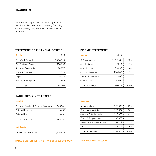### FINANCIALS

The NoMa BID's operations are funded by an assessment that applies to commercial property (including land and parking lots), residences of 10 or more units, and hotels.

### STATEMENT OF FINANCIAL POSITION

| <b>Assets</b>           | 2013      |
|-------------------------|-----------|
| Cash/Cash Equivalents   | 1,474,119 |
| Certificates of Deposit | 250,055   |
| Accounts Receivable     | 94,977    |
| Prepaid Expenses        | 17,729    |
| Deposits                | 19,574    |
| Property & Equipment    | 402,455   |
| <b>TOTAL ASSETS</b>     | 2.258.909 |

#### INCOME STATEMENT

| <b>Income</b>          | 2013      |       |
|------------------------|-----------|-------|
| <b>BID Assessments</b> | 1,897,786 | 82%   |
| Contributions          | 2,019     | 1%    |
| Grant Income           | 99,692    | 4%    |
| Contract Revenue       | 214,849   | 9%    |
| Interest & Dividends   | 1,483     | $1\%$ |
| Other Income           | 74,660    | 3%    |
| <b>TOTAL REVENUE</b>   | 2,290,489 | 100%  |

## LIABILITIES & NET ASSETS

#### Liabilities

| Accounts Payable & Accrued Expenses | 365,741 |
|-------------------------------------|---------|
| Deferred Revenue                    | 439,058 |
| Deferred Rent                       | 138.481 |
| <b>TOTAL LIABILITIES</b>            | 943.280 |

#### Net Assets

| Unrestricted Net Assets |  | 1,315,629 |
|-------------------------|--|-----------|
|-------------------------|--|-----------|

#### TOTAL LIABILITIES & NET ASSETS: \$2,258,909

#### Expenses

| Administration               | 525,395   | 23%  |
|------------------------------|-----------|------|
| Branding & Marketing         | 226,654   | 10%  |
| Cleaning & Ambassador        | 915,978   | 41%  |
| Events & Programming         | 192,356   | 9%   |
| Streetscape & Infrastructure | 254,459   | 11%  |
| Parks                        | 144,773   | 6%   |
| <b>TOTAL EXPENSES</b>        | 2,259,615 | 100% |

#### NET INCOME: \$30,874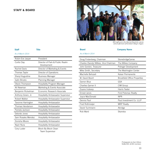#### STAFF & BOARD



*BID staff went to the Marriott Ranch for a picnic and an afternoon of horseback riding in August.* 

#### Board

#### *As of March 2014*

## Doug Firstenberg, Chairman StonebridgeCarras Charles (Sandy) Wilkes, Vice Chairman The Wilkes Company John Gordon, Treasurer **Polinger Development** Mike Smith, Secretary The Washington Center Machelle Behzadi Kaiser Permanente W. David Bevirt **Brookfield Office Properties** Darren Blue GSA Charlies Garner II CIM Group Duane Inskeep Harris Teeter Ernest Jarvis **First Potomac Realty** Joyce MacDonald NPR Dennis Paul **Paul Investment Co. LLLP** Fred Rothmeijer MRP Realty David Tuchmann Akridge Rob Ward Skanska

Photography by Sam Kittner, NoMa BID, & BID members

| <b>Staff</b> | Title | <b>Board</b> | <b>Company Name</b> |
|--------------|-------|--------------|---------------------|
|              |       |              |                     |

#### *As of March 2014*

| Robin-Eve Jasper   | President                                             |
|--------------------|-------------------------------------------------------|
| Curtis Clay        | Director of Park & Public Realm<br>Development        |
| Rachel Davis       | Director of Marketing & Events                        |
| Thomas Taylor      | Director of Operations                                |
| Sheryl Augustine   | <b>Business Manager</b>                               |
| Galin Brooks       | Planning Manager                                      |
| Otavio Thompson    | Hospitality Program Manager                           |
| Ali Newman         | Marketing & Events Associate                          |
| Benjamin Rickelman | Fconomic Research Associate                           |
| Anthony Green, Jr. | <b>Hospitality Ambassador Supervisor</b>              |
| Robert Walker      | <b>Hospitality Ambassador Supervisor</b>              |
| Tavonne Harrington | Hospitality Ambassador                                |
| Thomas Henderson   | Hospitality Ambassador                                |
| Pamela Jackson     | Hospitality Ambassador                                |
| Delonte Jones      | Hospitality Ambassador                                |
| Sam Rosales Mendez | Hospitality Ambassador                                |
| Donisha Moore      | Hospitality Ambassador                                |
| Nazir Nura         | Hospitality Ambassador                                |
| Cory Luster        | <b>Block By Block Clean</b><br><b>Team Supervisor</b> |